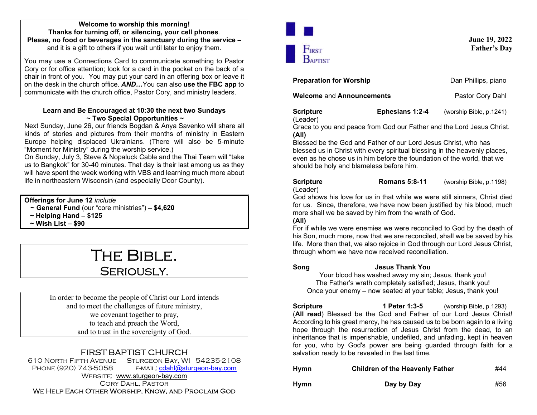#### Welcome to worship this morning! Thanks for turning off, or silencing, your cell phones. Please, no food or beverages in the sanctuary during the service – and it is a gift to others if you wait until later to enjoy them.

You may use a Connections Card to communicate something to Pastor Cory or for office attention; look for a card in the pocket on the back of a chair in front of you. You may put your card in an offering box or leave it on the desk in the church office. AND…You can also use the FBC app to communicate with the church office, Pastor Cory, and ministry leaders.

### Learn and Be Encouraged at 10:30 the next two Sundays ~ Two Special Opportunities ~

Next Sunday, June 26, our friends Bogdan & Anya Savenko will share all kinds of stories and pictures from their months of ministry in Eastern Europe helping displaced Ukrainians. (There will also be 5-minute "Moment for Ministry" during the worship service.)

On Sunday, July 3, Steve & Nopaluck Cable and the Thai Team will "take us to Bangkok" for 30-40 minutes. That day is their last among us as they will have spent the week working with VBS and learning much more about life in northeastern Wisconsin (and especially Door County).

**Offerings for June 12 include** 

- $\sim$  General Fund (our "core ministries") \$4,620
- $\sim$  Helping Hand \$125
- ~ Wish List \$90

# The Bible. SERIOUSLY.

In order to become the people of Christ our Lord intends and to meet the challenges of future ministry, we covenant together to pray, to teach and preach the Word, and to trust in the sovereignty of God.

# FIRST BAPTIST CHURCH

610 North Fifth Avenue Sturgeon Bay, WI 54235-2108 PHONE (920) 743-5058 E-MAIL: cdahl@sturgeon-bay.com WEBSITE: www.sturgeon-bay.com Cory Dahl, Pastor We Help Each Other Worship, Know, and Proclaim God



## June 19, 2022 Father's Day

| <b>Preparation for Worship</b> | Dan Phillips, piano |
|--------------------------------|---------------------|
| Welcome and Announcements      | Pastor Corv Dahl    |

Scripture **Ephesians 1:2-4** (worship Bible, p.1241) (Leader)

Grace to you and peace from God our Father and the Lord Jesus Christ. (All)

Blessed be the God and Father of our Lord Jesus Christ, who has blessed us in Christ with every spiritual blessing in the heavenly places, even as he chose us in him before the foundation of the world, that we should be holy and blameless before him.

Scripture **Romans 5:8-11** (worship Bible, p.1198)

### (Leader)

God shows his love for us in that while we were still sinners, Christ died for us. Since, therefore, we have now been justified by his blood, much more shall we be saved by him from the wrath of God.

### (All)

For if while we were enemies we were reconciled to God by the death of his Son, much more, now that we are reconciled, shall we be saved by his life. More than that, we also rejoice in God through our Lord Jesus Christ, through whom we have now received reconciliation.

#### Song Jesus Thank You

Your blood has washed away my sin; Jesus, thank you! The Father's wrath completely satisfied; Jesus, thank you! Once your enemy – now seated at your table; Jesus, thank you!

Scripture 1.3-5 (worship Bible, p.1293) (All read) Blessed be the God and Father of our Lord Jesus Christ! According to his great mercy, he has caused us to be born again to a living hope through the resurrection of Jesus Christ from the dead, to an inheritance that is imperishable, undefiled, and unfading, kept in heaven for you, who by God's power are being guarded through faith for a salvation ready to be revealed in the last time.

| Hymn | <b>Children of the Heavenly Father</b> | #44 |
|------|----------------------------------------|-----|
| Hymn | Day by Day                             | #56 |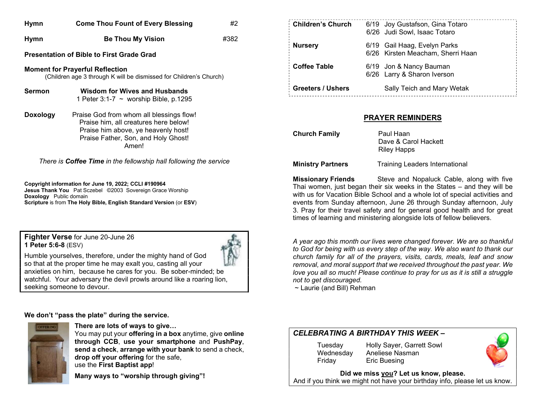| Hymn                                                              | <b>Come Thou Fount of Every Blessing</b>                                                                                                                                 | #2   |  |  |
|-------------------------------------------------------------------|--------------------------------------------------------------------------------------------------------------------------------------------------------------------------|------|--|--|
| Hymn                                                              | <b>Be Thou My Vision</b>                                                                                                                                                 | #382 |  |  |
| <b>Presentation of Bible to First Grade Grad</b>                  |                                                                                                                                                                          |      |  |  |
|                                                                   | <b>Moment for Prayerful Reflection</b><br>(Children age 3 through K will be dismissed for Children's Church)                                                             |      |  |  |
| Sermon                                                            | <b>Wisdom for Wives and Husbands</b><br>1 Peter 3:1-7 $\sim$ worship Bible, p.1295                                                                                       |      |  |  |
| Doxology                                                          | Praise God from whom all blessings flow!<br>Praise him, all creatures here below!<br>Praise him above, ye heavenly host!<br>Praise Father, Son, and Holy Ghost!<br>Amen! |      |  |  |
| There is Coffee Time in the fellowship hall following the service |                                                                                                                                                                          |      |  |  |

Copyright information for June 19, 2022; CCLI #190964 Jesus Thank You Pat Sczebel ©2003 Sovereign Grace Worship Doxology Public domain Scripture is from The Holy Bible, English Standard Version (or ESV)

Fighter Verse for June 20-June 26 1 Peter 5:6-8 (ESV)

seeking someone to devour.

Humble yourselves, therefore, under the mighty hand of God so that at the proper time he may exalt you, casting all your anxieties on him, because he cares for you. Be sober-minded; be watchful. Your adversary the devil prowls around like a roaring lion,

#### We don't "pass the plate" during the service.



There are lots of ways to give…

You may put your **offering in a box** anytime, give **online** through CCB, use your smartphone and PushPay, send a check, arrange with your bank to send a check, drop off your offering for the safe, use the First Baptist app!

Many ways to "worship through giving"!

| <b>Children's Church</b> | 6/19 Joy Gustafson, Gina Totaro<br>6/26 Judi Sowl, Isaac Totaro   |
|--------------------------|-------------------------------------------------------------------|
| <b>Nursery</b>           | 6/19 Gail Haag, Evelyn Parks<br>6/26 Kirsten Meacham, Sherri Haan |
| ∶ Coffee Table           | 6/19 Jon & Nancy Bauman<br>6/26 Larry & Sharon Iverson            |
| <b>Greeters / Ushers</b> | Sally Teich and Mary Wetak                                        |

# PRAYER REMINDERS

| Church Family     | Paul Haan<br>Dave & Carol Hackett<br><b>Riley Happs</b> |
|-------------------|---------------------------------------------------------|
| Ministry Partners | <b>Training Leaders International</b>                   |

**Missionary Friends** Steve and Nopaluck Cable, along with five Thai women, just began their six weeks in the States – and they will be with us for Vacation Bible School and a whole lot of special activities and events from Sunday afternoon, June 26 through Sunday afternoon, July 3. Pray for their travel safety and for general good health and for great times of learning and ministering alongside lots of fellow believers.

A year ago this month our lives were changed forever. We are so thankful to God for being with us every step of the way. We also want to thank our church family for all of the prayers, visits, cards, meals, leaf and snow removal, and moral support that we received throughout the past year. We love you all so much! Please continue to pray for us as it is still a struggle not to get discouraged.

~ Laurie (and Bill) Rehman

# CELEBRATING A BIRTHDAY THIS WEEK –

 Tuesday Holly Sayer, Garrett Sowl Wednesday Aneliese Nasman Friday Eric Buesing



Did we miss you? Let us know, please.

And if you think we might not have your birthday info, please let us know.